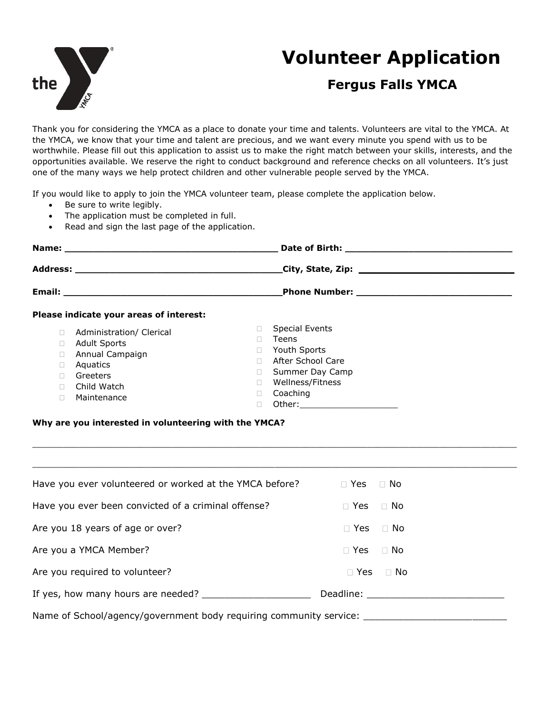

# **Volunteer Application**

## **Fergus Falls YMCA**

Thank you for considering the YMCA as a place to donate your time and talents. Volunteers are vital to the YMCA. At the YMCA, we know that your time and talent are precious, and we want every minute you spend with us to be worthwhile. Please fill out this application to assist us to make the right match between your skills, interests, and the opportunities available. We reserve the right to conduct background and reference checks on all volunteers. It's just one of the many ways we help protect children and other vulnerable people served by the YMCA.

If you would like to apply to join the YMCA volunteer team, please complete the application below.

- Be sure to write legibly.
- The application must be completed in full.
- Read and sign the last page of the application.

| Please indicate your areas of interest:                                                                                  |                                                                                                                                                                                                                                          |  |  |
|--------------------------------------------------------------------------------------------------------------------------|------------------------------------------------------------------------------------------------------------------------------------------------------------------------------------------------------------------------------------------|--|--|
| Administration/ Clerical<br><b>Adult Sports</b><br>Annual Campaign<br>Aquatics<br>Greeters<br>Child Watch<br>Maintenance | <b>Special Events</b><br>Teens<br>Youth Sports<br>After School Care<br>Summer Day Camp<br>Wellness/Fitness<br>Coaching<br>Other: and the contract of the contract of the contract of the contract of the contract of the contract of the |  |  |

#### **Why are you interested in volunteering with the YMCA?**

| Have you ever volunteered or worked at the YMCA before? | $\Box$ Yes $\Box$ No |  |
|---------------------------------------------------------|----------------------|--|
| Have you ever been convicted of a criminal offense?     | $\Box$ Yes $\Box$ No |  |
| Are you 18 years of age or over?                        | $\Box$ Yes $\Box$ No |  |
| Are you a YMCA Member?                                  | $\Box$ Yes $\Box$ No |  |
| Are you required to volunteer?                          | $\Box$ Yes $\Box$ No |  |
|                                                         |                      |  |
|                                                         |                      |  |

 $\_$  ,  $\_$  ,  $\_$  ,  $\_$  ,  $\_$  ,  $\_$  ,  $\_$  ,  $\_$  ,  $\_$  ,  $\_$  ,  $\_$  ,  $\_$  ,  $\_$  ,  $\_$  ,  $\_$  ,  $\_$  ,  $\_$  ,  $\_$  ,  $\_$  ,  $\_$  ,  $\_$  ,  $\_$  ,  $\_$  ,  $\_$  ,  $\_$  ,  $\_$  ,  $\_$  ,  $\_$  ,  $\_$  ,  $\_$  ,  $\_$  ,  $\_$  ,  $\_$  ,  $\_$  ,  $\_$  ,  $\_$  ,  $\_$  ,

Name of School/agency/government body requiring community service: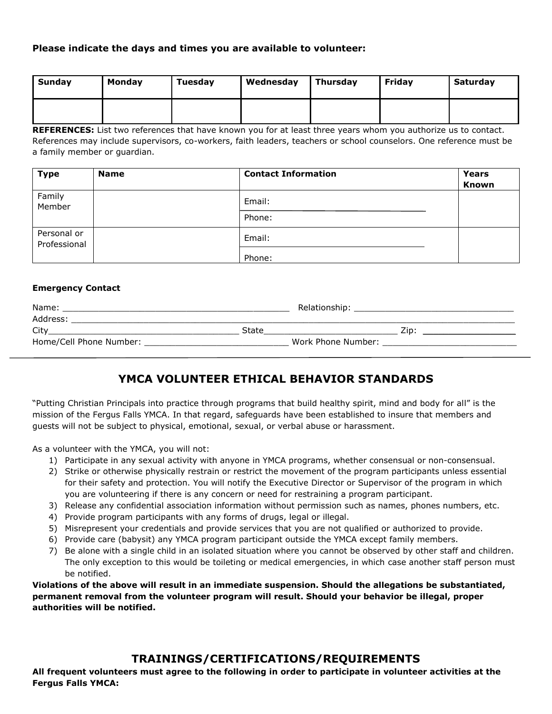#### **Please indicate the days and times you are available to volunteer:**

| Sunday | Monday | Tuesday | Wednesday | <b>Thursday</b> | Fridav | Saturday |
|--------|--------|---------|-----------|-----------------|--------|----------|
|        |        |         |           |                 |        |          |

**REFERENCES:** List two references that have known you for at least three years whom you authorize us to contact. References may include supervisors, co-workers, faith leaders, teachers or school counselors. One reference must be a family member or guardian.

| <b>Type</b>                 | <b>Name</b> | <b>Contact Information</b> | Years<br><b>Known</b> |
|-----------------------------|-------------|----------------------------|-----------------------|
| Family<br>Member            |             | Email:                     |                       |
|                             |             | Phone:                     |                       |
| Personal or<br>Professional |             | Email:                     |                       |
|                             |             | Phone:                     |                       |

#### **Emergency Contact**

| Name:                   |       | Relationship:      |  |
|-------------------------|-------|--------------------|--|
| Address:                |       |                    |  |
| City                    | State | Zin :              |  |
| Home/Cell Phone Number: |       | Work Phone Number: |  |

## **YMCA VOLUNTEER ETHICAL BEHAVIOR STANDARDS**

"Putting Christian Principals into practice through programs that build healthy spirit, mind and body for all" is the mission of the Fergus Falls YMCA. In that regard, safeguards have been established to insure that members and guests will not be subject to physical, emotional, sexual, or verbal abuse or harassment.

As a volunteer with the YMCA, you will not:

- 1) Participate in any sexual activity with anyone in YMCA programs, whether consensual or non-consensual.
- 2) Strike or otherwise physically restrain or restrict the movement of the program participants unless essential for their safety and protection. You will notify the Executive Director or Supervisor of the program in which you are volunteering if there is any concern or need for restraining a program participant.
- 3) Release any confidential association information without permission such as names, phones numbers, etc.
- 4) Provide program participants with any forms of drugs, legal or illegal.
- 5) Misrepresent your credentials and provide services that you are not qualified or authorized to provide.
- 6) Provide care (babysit) any YMCA program participant outside the YMCA except family members.
- 7) Be alone with a single child in an isolated situation where you cannot be observed by other staff and children. The only exception to this would be toileting or medical emergencies, in which case another staff person must be notified.

**Violations of the above will result in an immediate suspension. Should the allegations be substantiated, permanent removal from the volunteer program will result. Should your behavior be illegal, proper authorities will be notified.**

### **TRAININGS/CERTIFICATIONS/REQUIREMENTS**

**All frequent volunteers must agree to the following in order to participate in volunteer activities at the Fergus Falls YMCA:**